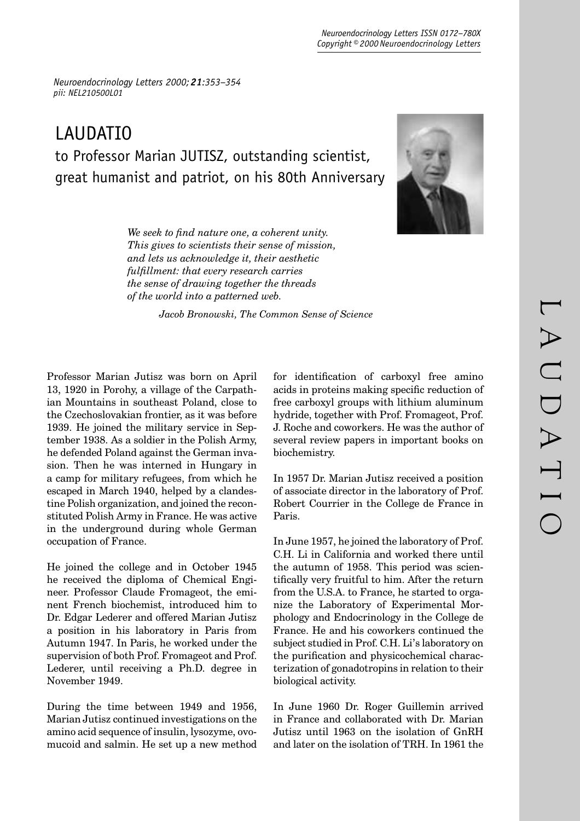*Neuroendocrinology Letters 2000; 21:353–354 pii: NEL210500L01* 

## LAUDATIO to Professor Marian JUTISZ, outstanding scientist, great humanist and patriot, on his 80th Anniversary



We seek to find nature one, a coherent unity. *This gives to scientists their sense of mission, and lets us acknowledge it, their aesthetic fulfi llment: that every research carries the sense of drawing together the threads of the world into a patterned web.*

 *Jacob Bronowski, The Common Sense of Science*

Professor Marian Jutisz was born on April 13, 1920 in Porohy, a village of the Carpathian Mountains in southeast Poland, close to the Czechoslovakian frontier, as it was before 1939. He joined the military service in September 1938. As a soldier in the Polish Army, he defended Poland against the German invasion. Then he was interned in Hungary in a camp for military refugees, from which he escaped in March 1940, helped by a clandestine Polish organization, and joined the reconstituted Polish Army in France. He was active in the underground during whole German occupation of France.

He joined the college and in October 1945 he received the diploma of Chemical Engineer. Professor Claude Fromageot, the eminent French biochemist, introduced him to Dr. Edgar Lederer and offered Marian Jutisz a position in his laboratory in Paris from Autumn 1947. In Paris, he worked under the supervision of both Prof. Fromageot and Prof. Lederer, until receiving a Ph.D. degree in November 1949.

During the time between 1949 and 1956, Marian Jutisz continued investigations on the amino acid sequence of insulin, lysozyme, ovomucoid and salmin. He set up a new method for identification of carboxyl free amino acids in proteins making specific reduction of free carboxyl groups with lithium aluminum hydride, together with Prof. Fromageot, Prof. J. Roche and coworkers. He was the author of several review papers in important books on biochemistry.

In 1957 Dr. Marian Jutisz received a position of associate director in the laboratory of Prof. Robert Courrier in the College de France in Paris.

In June 1957, he joined the laboratory of Prof. C.H. Li in California and worked there until the autumn of 1958. This period was scientifically very fruitful to him. After the return from the U.S.A. to France, he started to organize the Laboratory of Experimental Morphology and Endocrinology in the College de France. He and his coworkers continued the subject studied in Prof. C.H. Li's laboratory on the purification and physicochemical characterization of gonadotropins in relation to their biological activity.

In June 1960 Dr. Roger Guillemin arrived in France and collaborated with Dr. Marian Jutisz until 1963 on the isolation of GnRH and later on the isolation of TRH. In 1961 the